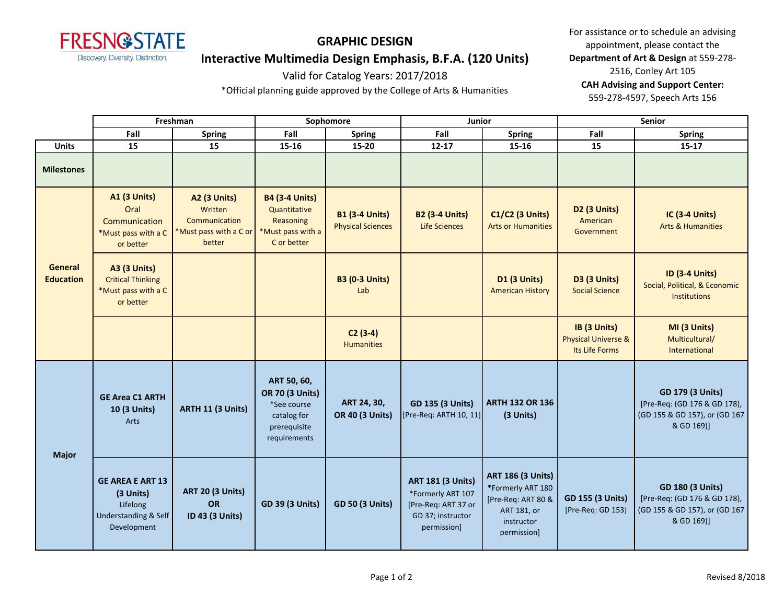

# **GRAPHIC DESIGN Interactive Multimedia Design Emphasis, B.F.A. (120 Units)**

### For assistance or to schedule an advising appointment, please contact the **Department of Art & Design** at 559-278- 2516, Conley Art 105 **CAH Advising and Support Center:**  559-278-4597, Speech Arts 156

Valid for Catalog Years: 2017/2018 \*Official planning guide approved by the College of Arts & Humanities

|                             | Freshman                                                                                           |                                                                                     | Sophomore                                                                                           |                                                   | Junior                                                                                                   |                                                                                                                 | Senior                                                           |                                                                                                        |
|-----------------------------|----------------------------------------------------------------------------------------------------|-------------------------------------------------------------------------------------|-----------------------------------------------------------------------------------------------------|---------------------------------------------------|----------------------------------------------------------------------------------------------------------|-----------------------------------------------------------------------------------------------------------------|------------------------------------------------------------------|--------------------------------------------------------------------------------------------------------|
|                             | Fall                                                                                               | <b>Spring</b>                                                                       | Fall                                                                                                | <b>Spring</b>                                     | Fall                                                                                                     | <b>Spring</b>                                                                                                   | Fall                                                             | Spring                                                                                                 |
| <b>Units</b>                | 15                                                                                                 | 15                                                                                  | 15-16                                                                                               | 15-20                                             | $12 - 17$                                                                                                | 15-16                                                                                                           | 15                                                               | $15 - 17$                                                                                              |
| <b>Milestones</b>           |                                                                                                    |                                                                                     |                                                                                                     |                                                   |                                                                                                          |                                                                                                                 |                                                                  |                                                                                                        |
| General<br><b>Education</b> | <b>A1 (3 Units)</b><br>Oral<br>Communication<br>*Must pass with a C<br>or better                   | <b>A2 (3 Units)</b><br>Written<br>Communication<br>*Must pass with a C or<br>better | <b>B4 (3-4 Units)</b><br>Quantitative<br>Reasoning<br>*Must pass with a<br>C or better              | <b>B1 (3-4 Units)</b><br><b>Physical Sciences</b> | <b>B2 (3-4 Units)</b><br><b>Life Sciences</b>                                                            | <b>C1/C2 (3 Units)</b><br><b>Arts or Humanities</b>                                                             | D2 (3 Units)<br>American<br>Government                           | <b>IC (3-4 Units)</b><br><b>Arts &amp; Humanities</b>                                                  |
|                             | <b>A3 (3 Units)</b><br><b>Critical Thinking</b><br>*Must pass with a C<br>or better                |                                                                                     |                                                                                                     | <b>B3 (0-3 Units)</b><br>Lab                      |                                                                                                          | D1 (3 Units)<br><b>American History</b>                                                                         | D3 (3 Units)<br><b>Social Science</b>                            | <b>ID (3-4 Units)</b><br>Social, Political, & Economic<br>Institutions                                 |
|                             |                                                                                                    |                                                                                     |                                                                                                     | $C2(3-4)$<br><b>Humanities</b>                    |                                                                                                          |                                                                                                                 | IB (3 Units)<br><b>Physical Universe &amp;</b><br>Its Life Forms | MI (3 Units)<br>Multicultural/<br>International                                                        |
| <b>Major</b>                | <b>GE Area C1 ARTH</b><br>10 (3 Units)<br>Arts                                                     | <b>ARTH 11 (3 Units)</b>                                                            | ART 50, 60,<br><b>OR 70 (3 Units)</b><br>*See course<br>catalog for<br>prerequisite<br>requirements | ART 24, 30,<br><b>OR 40 (3 Units)</b>             | <b>GD 135 (3 Units)</b><br>[Pre-Req: ARTH 10, 11]                                                        | <b>ARTH 132 OR 136</b><br>(3 Units)                                                                             |                                                                  | <b>GD 179 (3 Units)</b><br>[Pre-Req: (GD 176 & GD 178),<br>(GD 155 & GD 157), or (GD 167<br>& GD 169)] |
|                             | <b>GE AREA E ART 13</b><br>(3 Units)<br>Lifelong<br><b>Understanding &amp; Self</b><br>Development | <b>ART 20 (3 Units)</b><br><b>OR</b><br>ID 43 (3 Units)                             | <b>GD 39 (3 Units)</b>                                                                              | <b>GD 50 (3 Units)</b>                            | <b>ART 181 (3 Units)</b><br>*Formerly ART 107<br>[Pre-Req: ART 37 or<br>GD 37; instructor<br>permission] | <b>ART 186 (3 Units)</b><br>*Formerly ART 180<br>[Pre-Req: ART 80 &<br>ART 181, or<br>instructor<br>permission] | <b>GD 155 (3 Units)</b><br>[Pre-Req: GD 153]                     | <b>GD 180 (3 Units)</b><br>[Pre-Req: (GD 176 & GD 178),<br>(GD 155 & GD 157), or (GD 167<br>& GD 169)] |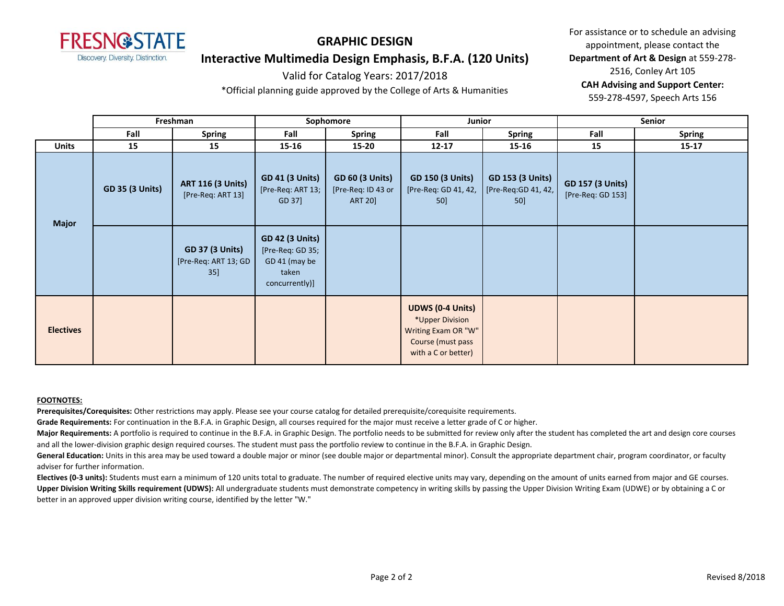

# **GRAPHIC DESIGN Interactive Multimedia Design Emphasis, B.F.A. (120 Units)**

# Valid for Catalog Years: 2017/2018

\*Official planning guide approved by the College of Arts & Humanities

For assistance or to schedule an advising appointment, please contact the **Department of Art & Design** at 559-278- 2516, Conley Art 105 **CAH Advising and Support Center:**  559-278-4597, Speech Arts 156

|                  | Freshman               |                                                          | Sophomore                                                                              |                                                                | Junior                                                                                                        |                                                         | Senior                                       |               |
|------------------|------------------------|----------------------------------------------------------|----------------------------------------------------------------------------------------|----------------------------------------------------------------|---------------------------------------------------------------------------------------------------------------|---------------------------------------------------------|----------------------------------------------|---------------|
|                  | Fall                   | <b>Spring</b>                                            | Fall                                                                                   | <b>Spring</b>                                                  | Fall                                                                                                          | <b>Spring</b>                                           | Fall                                         | <b>Spring</b> |
| <b>Units</b>     | 15                     | 15                                                       | 15-16                                                                                  | 15-20                                                          | $12 - 17$                                                                                                     | 15-16                                                   | 15                                           | $15 - 17$     |
| <b>Major</b>     | <b>GD 35 (3 Units)</b> | <b>ART 116 (3 Units)</b><br>[Pre-Req: ART 13]            | <b>GD 41 (3 Units)</b><br>[Pre-Req: ART 13;<br>GD 37]                                  | <b>GD 60 (3 Units)</b><br>[Pre-Req: ID 43 or<br><b>ART 20]</b> | <b>GD 150 (3 Units)</b><br>[Pre-Req: GD 41, 42,<br>50]                                                        | <b>GD 153 (3 Units)</b><br>[Pre-Req:GD 41, 42,  <br>50] | <b>GD 157 (3 Units)</b><br>[Pre-Req: GD 153] |               |
|                  |                        | <b>GD 37 (3 Units)</b><br>[Pre-Req: ART 13; GD<br>$35$ ] | <b>GD 42 (3 Units)</b><br>[Pre-Req: GD 35;<br>GD 41 (may be<br>taken<br>concurrently)] |                                                                |                                                                                                               |                                                         |                                              |               |
| <b>Electives</b> |                        |                                                          |                                                                                        |                                                                | <b>UDWS (0-4 Units)</b><br>*Upper Division<br>Writing Exam OR "W"<br>Course (must pass<br>with a C or better) |                                                         |                                              |               |

#### **FOOTNOTES:**

**Prerequisites/Corequisites:** Other restrictions may apply. Please see your course catalog for detailed prerequisite/corequisite requirements.

**Grade Requirements:** For continuation in the B.F.A. in Graphic Design, all courses required for the major must receive a letter grade of C or higher.

Major Requirements: A portfolio is required to continue in the B.F.A. in Graphic Design. The portfolio needs to be submitted for review only after the student has completed the art and design core courses and all the lower-division graphic design required courses. The student must pass the portfolio review to continue in the B.F.A. in Graphic Design.

General Education: Units in this area may be used toward a double major or minor (see double major or departmental minor). Consult the appropriate department chair, program coordinator, or faculty adviser for further information.

**Electives (0-3 units):** Students must earn a minimum of 120 units total to graduate. The number of required elective units may vary, depending on the amount of units earned from major and GE courses. **Upper Division Writing Skills requirement (UDWS):** All undergraduate students must demonstrate competency in writing skills by passing the Upper Division Writing Exam (UDWE) or by obtaining a C or better in an approved upper division writing course, identified by the letter "W."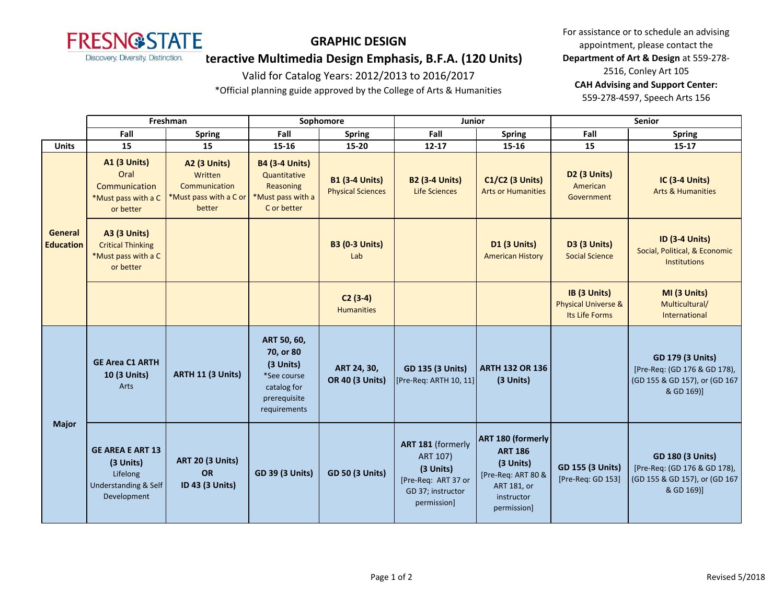

# **GRAPHIC DESIGN**

**Interactive Multimedia Design Emphasis, B.F.A. (120 Units)**

### Valid for Catalog Years: 2012/2013 to 2016/2017

\*Official planning guide approved by the College of Arts & Humanities

For assistance or to schedule an advising appointment, please contact the **Department of Art & Design** at 559-278- 2516, Conley Art 105 **CAH Advising and Support Center:**  559-278-4597, Speech Arts 156

|                             | Freshman                                                                                |                                                                                     | Sophomore                                                                                           |                                                   | Junior                                                                                                |                                                                                                                           | Senior                                                           |                                                                                                        |
|-----------------------------|-----------------------------------------------------------------------------------------|-------------------------------------------------------------------------------------|-----------------------------------------------------------------------------------------------------|---------------------------------------------------|-------------------------------------------------------------------------------------------------------|---------------------------------------------------------------------------------------------------------------------------|------------------------------------------------------------------|--------------------------------------------------------------------------------------------------------|
|                             | Fall                                                                                    | <b>Spring</b>                                                                       | Fall                                                                                                | <b>Spring</b>                                     | Fall                                                                                                  | <b>Spring</b>                                                                                                             | Fall                                                             | <b>Spring</b>                                                                                          |
| <b>Units</b>                | 15                                                                                      | 15                                                                                  | 15-16                                                                                               | $15 - 20$                                         | $12 - 17$                                                                                             | 15-16                                                                                                                     | 15                                                               | $15 - 17$                                                                                              |
| General<br><b>Education</b> | <b>A1 (3 Units)</b><br>Oral<br>Communication<br>*Must pass with a C<br>or better        | <b>A2 (3 Units)</b><br>Written<br>Communication<br>*Must pass with a C or<br>better | <b>B4 (3-4 Units)</b><br>Quantitative<br>Reasoning<br>*Must pass with a<br>C or better              | <b>B1 (3-4 Units)</b><br><b>Physical Sciences</b> | <b>B2 (3-4 Units)</b><br><b>Life Sciences</b>                                                         | <b>C1/C2 (3 Units)</b><br><b>Arts or Humanities</b>                                                                       | D <sub>2</sub> (3 Units)<br>American<br>Government               | <b>IC (3-4 Units)</b><br><b>Arts &amp; Humanities</b>                                                  |
|                             | <b>A3 (3 Units)</b><br><b>Critical Thinking</b><br>*Must pass with a C<br>or better     |                                                                                     |                                                                                                     | <b>B3 (0-3 Units)</b><br>Lab                      |                                                                                                       | <b>D1 (3 Units)</b><br><b>American History</b>                                                                            | <b>D3 (3 Units)</b><br><b>Social Science</b>                     | <b>ID (3-4 Units)</b><br>Social, Political, & Economic<br><b>Institutions</b>                          |
|                             |                                                                                         |                                                                                     |                                                                                                     | $C2(3-4)$<br><b>Humanities</b>                    |                                                                                                       |                                                                                                                           | IB (3 Units)<br><b>Physical Universe &amp;</b><br>Its Life Forms | MI (3 Units)<br>Multicultural/<br>International                                                        |
| <b>Major</b>                | <b>GE Area C1 ARTH</b><br>10 (3 Units)<br>Arts                                          | ARTH 11 (3 Units)                                                                   | ART 50, 60,<br>70, or 80<br>(3 Units)<br>*See course<br>catalog for<br>prerequisite<br>requirements | ART 24, 30,<br><b>OR 40 (3 Units)</b>             | <b>GD 135 (3 Units)</b><br>[Pre-Req: ARTH 10, 11]                                                     | <b>ARTH 132 OR 136</b><br>(3 Units)                                                                                       |                                                                  | <b>GD 179 (3 Units)</b><br>[Pre-Req: (GD 176 & GD 178),<br>(GD 155 & GD 157), or (GD 167<br>& GD 169)] |
|                             | <b>GE AREA E ART 13</b><br>(3 Units)<br>Lifelong<br>Understanding & Self<br>Development | <b>ART 20 (3 Units)</b><br><b>OR</b><br>ID 43 (3 Units)                             | <b>GD 39 (3 Units)</b>                                                                              | <b>GD 50 (3 Units)</b>                            | ART 181 (formerly<br>ART 107)<br>(3 Units)<br>[Pre-Req: ART 37 or<br>GD 37; instructor<br>permission] | <b>ART 180 (formerly</b><br><b>ART 186</b><br>(3 Units)<br>[Pre-Req: ART 80 &<br>ART 181, or<br>instructor<br>permission] | <b>GD 155 (3 Units)</b><br>[Pre-Req: GD 153]                     | <b>GD 180 (3 Units)</b><br>[Pre-Req: (GD 176 & GD 178),<br>(GD 155 & GD 157), or (GD 167<br>& GD 169)] |